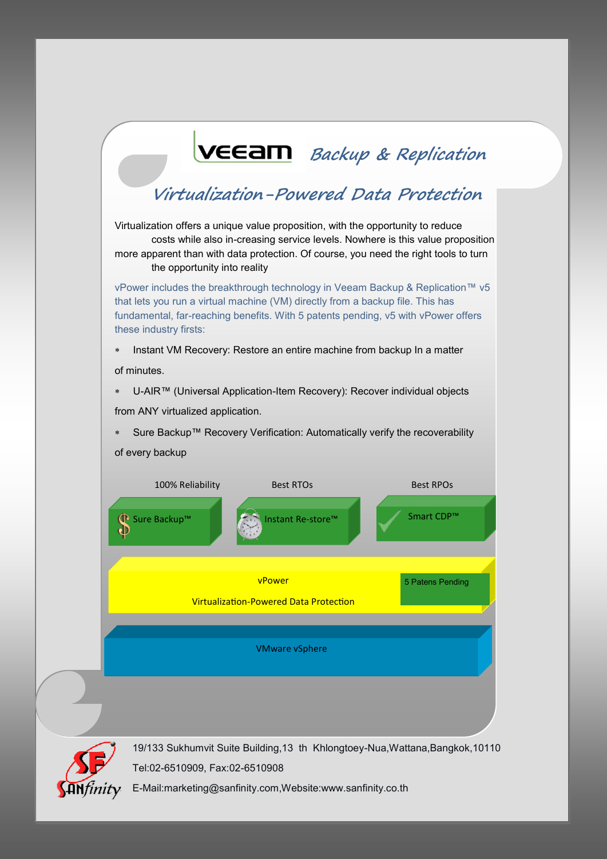



19/133 Sukhumvit Suite Building,13 th Khlongtoey-Nua,Wattana,Bangkok,10110 Tel:02-6510909, Fax:02-6510908

E-Mail:marketing@sanfinity.com,Website:www.sanfinity.co.th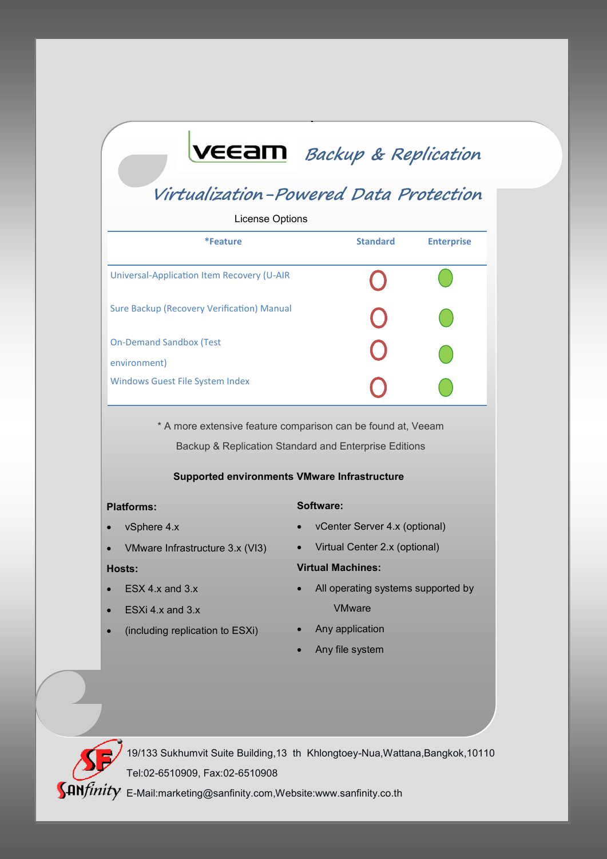# **Backup & Replication**

## **Virtualization-Powered Data Protection**

| License Options                                |                 |                   |  |
|------------------------------------------------|-----------------|-------------------|--|
| *Feature                                       | <b>Standard</b> | <b>Enterprise</b> |  |
| Universal-Application Item Recovery (U-AIR     |                 |                   |  |
| Sure Backup (Recovery Verification) Manual     |                 |                   |  |
| <b>On-Demand Sandbox (Test</b><br>environment) |                 |                   |  |
| <b>Windows Guest File System Index</b>         |                 |                   |  |

\* A more extensive feature comparison can be found at, Veeam Backup & Replication Standard and Enterprise Editions

### **Supported environments VMware Infrastructure**

#### **Platforms:**

#### **Software:**

- vSphere 4.x
- VMware Infrastructure 3.x (VI3)

### **Hosts:**

- ESX 4.x and 3.x
- ESXi 4.x and 3.x
- (including replication to ESXi)
- vCenter Server 4.x (optional)
- Virtual Center 2.x (optional)

### **Virtual Machines:**

- All operating systems supported by VMware
- Any application
- Any file system



19/133 Sukhumvit Suite Building,13 th Khlongtoey-Nua,Wattana,Bangkok,10110 Tel:02-6510909, Fax:02-6510908

**SAN**finity E-Mail:marketing@sanfinity.com,Website:www.sanfinity.co.th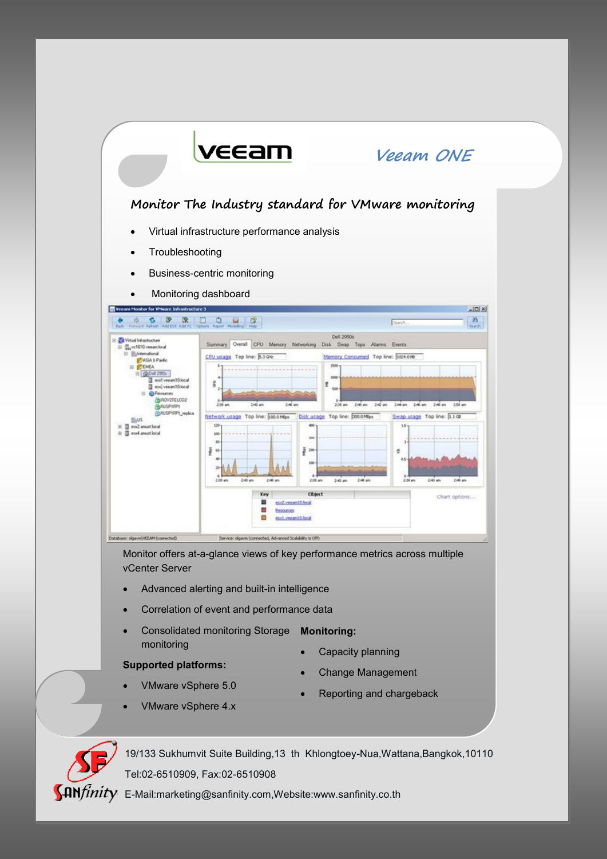

- - VMware vSphere 4.х
- Reporting and chargeback



19/133 Sukhumvit Suite Building,13 th Khlongtoey-Nua,Wattana,Bangkok,10110 Tel:02-6510909, Fax:02-6510908

**SAN**finity E-Mail:marketing@sanfinity.com,Website:www.sanfinity.co.th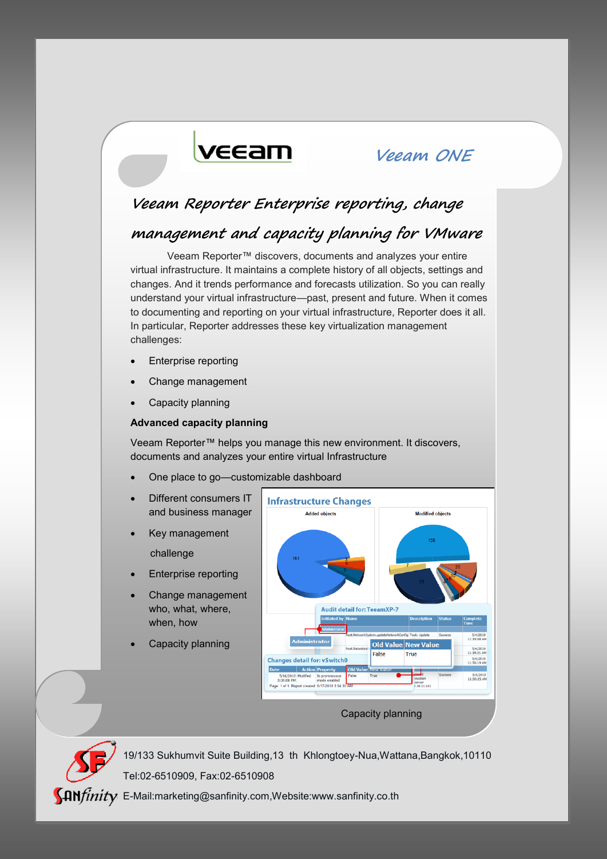# veeam

### **Veeam ONE**

### **Veeam Reporter Enterprise reporting, change**

### **management and capacity planning for VMware**

Veeam Reporter™ discovers, documents and analyzes your entire virtual infrastructure. It maintains a complete history of all objects, settings and changes. And it trends performance and forecasts utilization. So you can really understand your virtual infrastructure—past, present and future. When it comes to documenting and reporting on your virtual infrastructure, Reporter does it all. In particular, Reporter addresses these key virtualization management challenges:

- Enterprise reporting
- Change management
- Capacity planning

#### **Advanced capacity planning**

Veeam Reporter™ helps you manage this new environment. It discovers, documents and analyzes your entire virtual Infrastructure

- One place to go—customizable dashboard
- Different consumers IT and business manager
- Key management challenge
- Enterprise reporting
- Change management who, what, where, when, how
- Capacity planning



#### Capacity planning

19/133 Sukhumvit Suite Building,13 th Khlongtoey-Nua,Wattana,Bangkok,10110 Tel:02-6510909, Fax:02-6510908

 $\int \mathbf{A} \mathbf{N} f \mathbf{n} i t \mathbf{v}$  E-Mail:marketing@sanfinity.com,Website:www.sanfinity.co.th